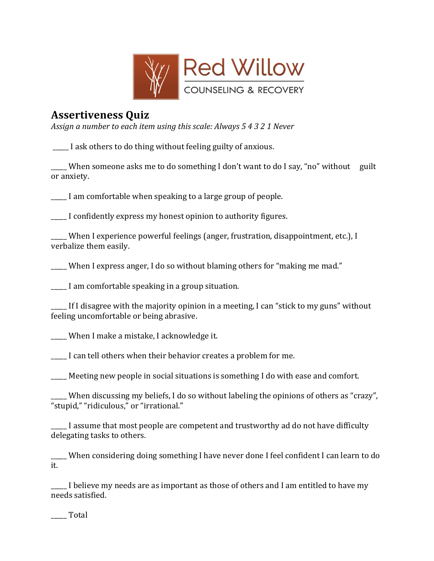

## **Assertiveness!Quiz!**

Assign a number to each item using this scale: Always 5 4 3 2 1 Never

Let I ask others to do thing without feeling guilty of anxious.

\_\_\_\_ When someone asks me to do something I don't want to do I say, "no" without guilt or anxiety.

I am comfortable when speaking to a large group of people.

I confidently express my honest opinion to authority figures.

\_\_\_\_\_!When!I!experience!powerful!feelings!(anger,!frustration,!disappointment,!etc.),!I! verbalize them easily.

When I express anger, I do so without blaming others for "making me mad."

I am comfortable speaking in a group situation.

If I disagree with the majority opinion in a meeting, I can "stick to my guns" without feeling uncomfortable or being abrasive.

When I make a mistake, I acknowledge it.

I can tell others when their behavior creates a problem for me.

 $\Box$  Meeting new people in social situations is something I do with ease and comfort.

 $\Box$  When discussing my beliefs, I do so without labeling the opinions of others as "crazy", "stupid," "ridiculous," or "irrational."

I assume that most people are competent and trustworthy ad do not have difficulty delegating tasks to others.

\_\_\_\_ When considering doing something I have never done I feel confident I can learn to do it.

 $\_$  I believe my needs are as important as those of others and I am entitled to have my needs satisfied.

\_\_\_\_\_!Total